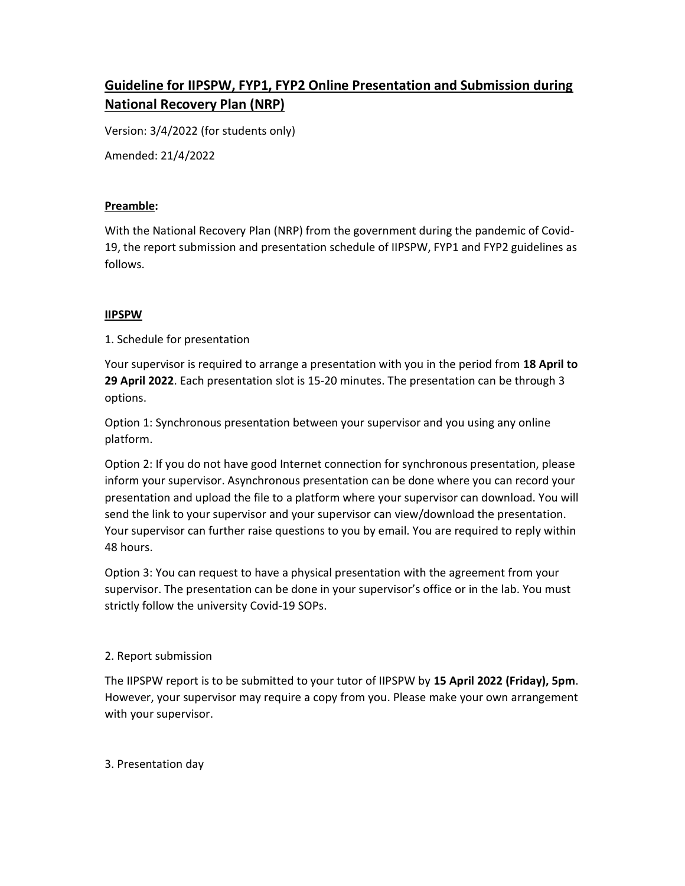# Guideline for IIPSPW, FYP1, FYP2 Online Presentation and Submission during National Recovery Plan (NRP)

Version: 3/4/2022 (for students only)

Amended: 21/4/2022

### Preamble:

With the National Recovery Plan (NRP) from the government during the pandemic of Covid-19, the report submission and presentation schedule of IIPSPW, FYP1 and FYP2 guidelines as follows.

### IIPSPW

1. Schedule for presentation

Your supervisor is required to arrange a presentation with you in the period from 18 April to 29 April 2022. Each presentation slot is 15-20 minutes. The presentation can be through 3 options.

Option 1: Synchronous presentation between your supervisor and you using any online platform.

Option 2: If you do not have good Internet connection for synchronous presentation, please inform your supervisor. Asynchronous presentation can be done where you can record your presentation and upload the file to a platform where your supervisor can download. You will send the link to your supervisor and your supervisor can view/download the presentation. Your supervisor can further raise questions to you by email. You are required to reply within 48 hours.

Option 3: You can request to have a physical presentation with the agreement from your supervisor. The presentation can be done in your supervisor's office or in the lab. You must strictly follow the university Covid-19 SOPs.

## 2. Report submission

The IIPSPW report is to be submitted to your tutor of IIPSPW by 15 April 2022 (Friday), 5pm. However, your supervisor may require a copy from you. Please make your own arrangement with your supervisor.

## 3. Presentation day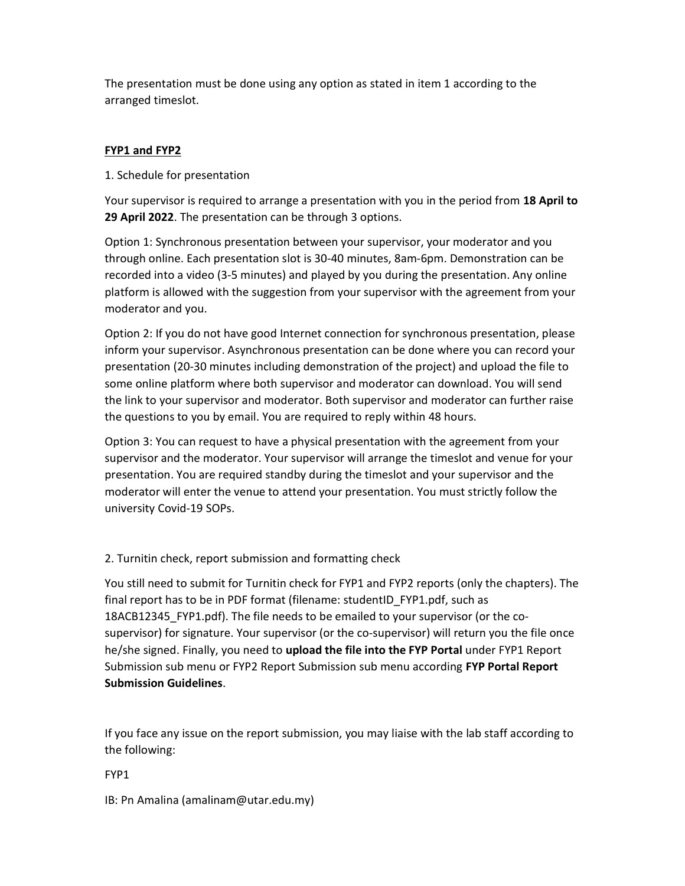The presentation must be done using any option as stated in item 1 according to the arranged timeslot.

# FYP1 and FYP2

1. Schedule for presentation

Your supervisor is required to arrange a presentation with you in the period from 18 April to 29 April 2022. The presentation can be through 3 options.

Option 1: Synchronous presentation between your supervisor, your moderator and you through online. Each presentation slot is 30-40 minutes, 8am-6pm. Demonstration can be recorded into a video (3-5 minutes) and played by you during the presentation. Any online platform is allowed with the suggestion from your supervisor with the agreement from your moderator and you.

Option 2: If you do not have good Internet connection for synchronous presentation, please inform your supervisor. Asynchronous presentation can be done where you can record your presentation (20-30 minutes including demonstration of the project) and upload the file to some online platform where both supervisor and moderator can download. You will send the link to your supervisor and moderator. Both supervisor and moderator can further raise the questions to you by email. You are required to reply within 48 hours.

Option 3: You can request to have a physical presentation with the agreement from your supervisor and the moderator. Your supervisor will arrange the timeslot and venue for your presentation. You are required standby during the timeslot and your supervisor and the moderator will enter the venue to attend your presentation. You must strictly follow the university Covid-19 SOPs.

2. Turnitin check, report submission and formatting check

You still need to submit for Turnitin check for FYP1 and FYP2 reports (only the chapters). The final report has to be in PDF format (filename: studentID\_FYP1.pdf, such as 18ACB12345\_FYP1.pdf). The file needs to be emailed to your supervisor (or the cosupervisor) for signature. Your supervisor (or the co-supervisor) will return you the file once he/she signed. Finally, you need to upload the file into the FYP Portal under FYP1 Report Submission sub menu or FYP2 Report Submission sub menu according FYP Portal Report Submission Guidelines.

If you face any issue on the report submission, you may liaise with the lab staff according to the following:

FYP1

IB: Pn Amalina (amalinam@utar.edu.my)